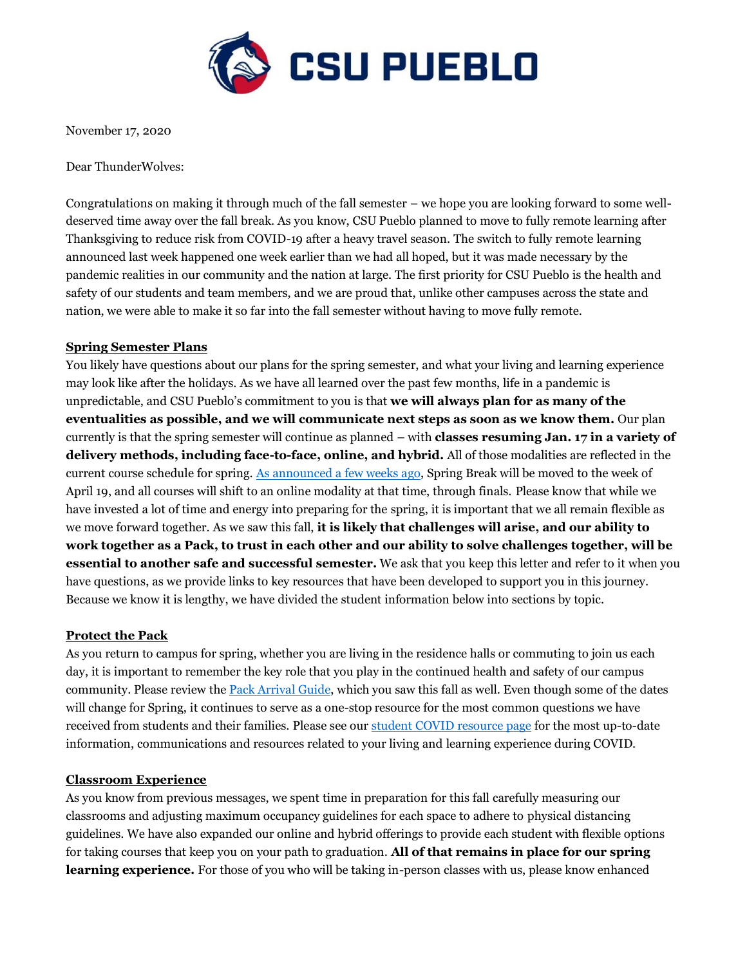

November 17, 2020

Dear ThunderWolves:

Congratulations on making it through much of the fall semester – we hope you are looking forward to some welldeserved time away over the fall break. As you know, CSU Pueblo planned to move to fully remote learning after Thanksgiving to reduce risk from COVID-19 after a heavy travel season. The switch to fully remote learning announced last week happened one week earlier than we had all hoped, but it was made necessary by the pandemic realities in our community and the nation at large. The first priority for CSU Pueblo is the health and safety of our students and team members, and we are proud that, unlike other campuses across the state and nation, we were able to make it so far into the fall semester without having to move fully remote.

#### **Spring Semester Plans**

You likely have questions about our plans for the spring semester, and what your living and learning experience may look like after the holidays. As we have all learned over the past few months, life in a pandemic is unpredictable, and CSU Pueblo's commitment to you is that **we will always plan for as many of the eventualities as possible, and we will communicate next steps as soon as we know them.** Our plan currently is that the spring semester will continue as planned – with **classes resuming Jan. 17 in a variety of delivery methods, including face-to-face, online, and hybrid.** All of those modalities are reflected in the current course schedule for spring. [As announced a few weeks ago,](https://www.csupueblo.edu/coronavirus/_doc/spring-2021-announcement.pdf) Spring Break will be moved to the week of April 19, and all courses will shift to an online modality at that time, through finals. Please know that while we have invested a lot of time and energy into preparing for the spring, it is important that we all remain flexible as we move forward together. As we saw this fall, **it is likely that challenges will arise, and our ability to work together as a Pack, to trust in each other and our ability to solve challenges together, will be essential to another safe and successful semester.** We ask that you keep this letter and refer to it when you have questions, as we provide links to key resources that have been developed to support you in this journey. Because we know it is lengthy, we have divided the student information below into sections by topic.

#### **Protect the Pack**

As you return to campus for spring, whether you are living in the residence halls or commuting to join us each day, it is important to remember the key role that you play in the continued health and safety of our campus community. Please review the [Pack Arrival Guide,](https://www.csupueblo.edu/coronavirus/_doc/student-affairs-return-to-campus-guide.pdf) which you saw this fall as well. Even though some of the dates will change for Spring, it continues to serve as a one-stop resource for the most common questions we have received from students and their families. Please see our [student COVID resource page](https://www.csupueblo.edu/coronavirus/student-resources/index.html) for the most up-to-date information, communications and resources related to your living and learning experience during COVID.

#### **Classroom Experience**

As you know from previous messages, we spent time in preparation for this fall carefully measuring our classrooms and adjusting maximum occupancy guidelines for each space to adhere to physical distancing guidelines. We have also expanded our online and hybrid offerings to provide each student with flexible options for taking courses that keep you on your path to graduation. **All of that remains in place for our spring learning experience.** For those of you who will be taking in-person classes with us, please know enhanced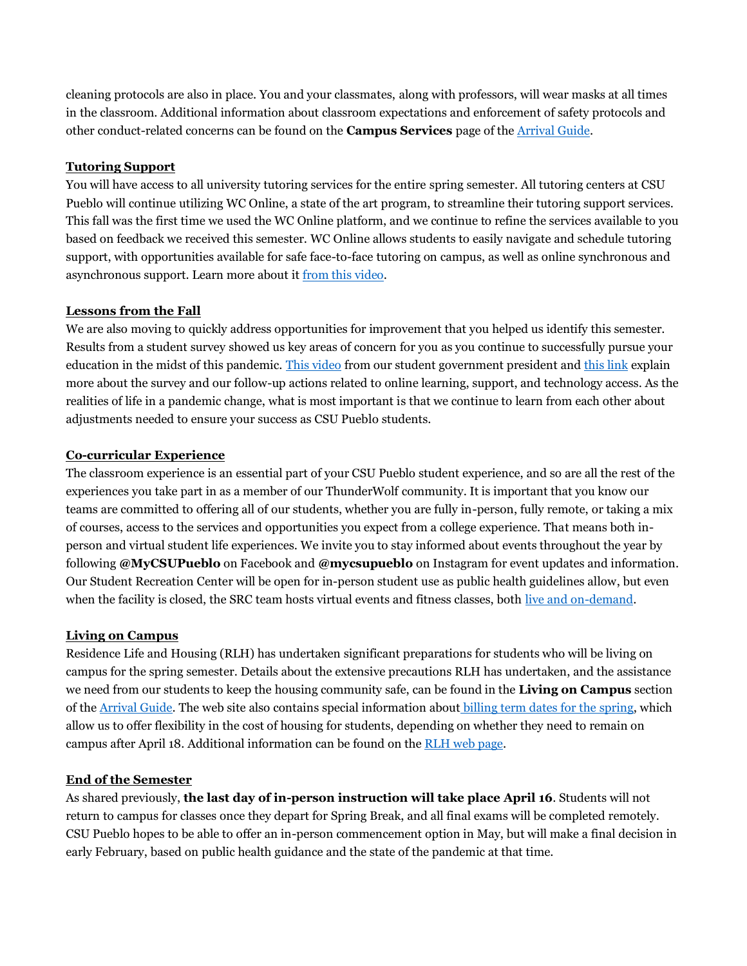cleaning protocols are also in place. You and your classmates, along with professors, will wear masks at all times in the classroom. Additional information about classroom expectations and enforcement of safety protocols and other conduct-related concerns can be found on the **Campus Services** page of the [Arrival Guide.](https://www.csupueblo.edu/coronavirus/_doc/student-affairs-return-to-campus-guide.pdf)

# **Tutoring Support**

You will have access to all university tutoring services for the entire spring semester. All tutoring centers at CSU Pueblo will continue utilizing WC Online, a state of the art program, to streamline their tutoring support services. This fall was the first time we used the WC Online platform, and we continue to refine the services available to you based on feedback we received this semester. WC Online allows students to easily navigate and schedule tutoring support, with opportunities available for safe face-to-face tutoring on campus, as well as online synchronous and asynchronous support. Learn more about it [from this video.](https://youtu.be/NFtYh1W6Nx8)

#### **Lessons from the Fall**

We are also moving to quickly address opportunities for improvement that you helped us identify this semester. Results from a student survey showed us key areas of concern for you as you continue to successfully pursue your education in the midst of this pandemic. [This video](https://www.youtube.com/watch?v=NnCj3cr4xQE&feature=youtu.be) from our student government president an[d this link](https://learn-us-east-1-prod-fleet01-xythos.s3.amazonaws.com/5f23c2fe6fb45/1852648?response-cache-control=private%2C%20max-age%3D21600&response-content-disposition=inline%3B%20filename%2A%3DUTF-8%27%2720201030-csupueblo-learning-resources-results.pdf&response-content-type=application%2Fpdf&X-Amz-Algorithm=AWS4-HMAC-SHA256&X-Amz-Date=20201116T150000Z&X-Amz-SignedHeaders=host&X-Amz-Expires=21600&X-Amz-Credential=AKIAZH6WM4PL5SJBSTP6%2F20201116%2Fus-east-1%2Fs3%2Faws4_request&X-Amz-Signature=8b8aa066c806e128296989f169ddc96ad0aeffeafcf13c4e7c1ec8df57614db9) explain more about the survey and our follow-up actions related to online learning, support, and technology access. As the realities of life in a pandemic change, what is most important is that we continue to learn from each other about adjustments needed to ensure your success as CSU Pueblo students.

## **Co-curricular Experience**

The classroom experience is an essential part of your CSU Pueblo student experience, and so are all the rest of the experiences you take part in as a member of our ThunderWolf community. It is important that you know our teams are committed to offering all of our students, whether you are fully in-person, fully remote, or taking a mix of courses, access to the services and opportunities you expect from a college experience. That means both inperson and virtual student life experiences. We invite you to stay informed about events throughout the year by following **@MyCSUPueblo** on Facebook and **@mycsupueblo** on Instagram for event updates and information. Our Student Recreation Center will be open for in-person student use as public health guidelines allow, but even when the facility is closed, the SRC team hosts virtual events and fitness classes, both [live and on-demand.](https://www.csupueblo.edu/thunderwolf-recreation/fitness-and-well-being/group-fitness.html)

#### **Living on Campus**

Residence Life and Housing (RLH) has undertaken significant preparations for students who will be living on campus for the spring semester. Details about the extensive precautions RLH has undertaken, and the assistance we need from our students to keep the housing community safe, can be found in the **Living on Campus** section of th[e Arrival Guide.](https://www.csupueblo.edu/coronavirus/_doc/student-affairs-return-to-campus-guide.pdf) The web site also contains special information about [billing term dates for the spring,](https://www.csupueblo.edu/residence-life-and-housing/moving-on-campus/room-information.html) which allow us to offer flexibility in the cost of housing for students, depending on whether they need to remain on campus after April 18. Additional information can be found on the [RLH web page.](https://www.csupueblo.edu/residence-life-and-housing/index.html)

#### **End of the Semester**

As shared previously, **the last day of in-person instruction will take place April 16**. Students will not return to campus for classes once they depart for Spring Break, and all final exams will be completed remotely. CSU Pueblo hopes to be able to offer an in-person commencement option in May, but will make a final decision in early February, based on public health guidance and the state of the pandemic at that time.